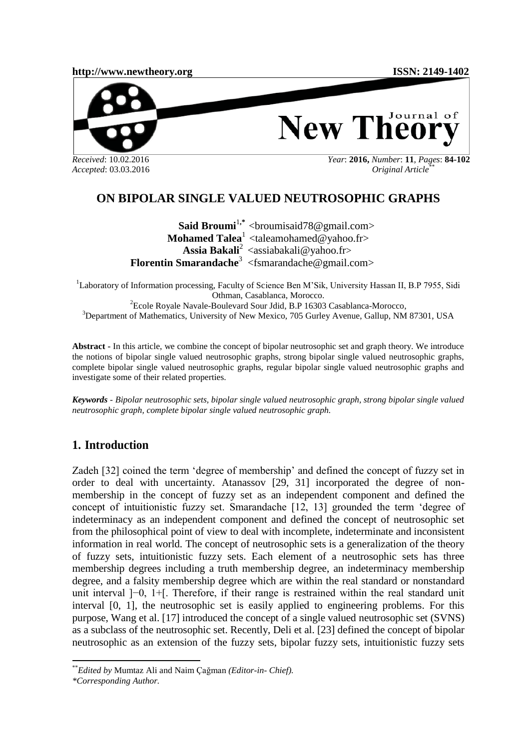Journal of

**[http://www.newtheory.org](http://www.newtheory.org/) ISSN: 2149-1402**



*Accepted*: 03.03.2016

*Year*: **2016,** *Number*: **11**, *Pages*: **84-102**  *Original Article*\*\*

**New The** 

# **ON BIPOLAR SINGLE VALUED NEUTROSOPHIC GRAPHS**

**Said Broumi**<sup>1,\*</sup> <br />
commissid78@gmail.com>  $\mathbf M$ **ohamed Talea**<sup>1</sup> <taleamohamed@yahoo.fr> **Assia Bakali**<sup>2</sup> [<assiabakali@yahoo.fr](mailto:assiabakali@yahoo.fr)>  **Florentin Smarandache**<sup>3</sup>[<fsmarandache@gmail.com>](mailto:fsmarandache@gmail.com)

<sup>1</sup>Laboratory of Information processing, Faculty of Science Ben M'Sik, University Hassan II, B.P 7955, Sidi Othman, Casablanca, Morocco.

<sup>2</sup>Ecole Royale Navale-Boulevard Sour Jdid, B.P 16303 Casablanca-Morocco, <sup>3</sup>Department of Mathematics, University of New Mexico, 705 Gurley Avenue, Gallup, NM 87301, USA

**Abstract -** In this article, we combine the concept of bipolar neutrosophic set and graph theory. We introduce the notions of bipolar single valued neutrosophic graphs, strong bipolar single valued neutrosophic graphs, complete bipolar single valued neutrosophic graphs, regular bipolar single valued neutrosophic graphs and investigate some of their related properties.

*Keywords - Bipolar neutrosophic sets, bipolar single valued neutrosophic graph, strong bipolar single valued neutrosophic graph, complete bipolar single valued neutrosophic graph.*

# **1. Introduction**

Zadeh [32] coined the term 'degree of membership' and defined the concept of fuzzy set in order to deal with uncertainty. Atanassov [29, 31] incorporated the degree of nonmembership in the concept of fuzzy set as an independent component and defined the concept of intuitionistic fuzzy set. Smarandache [12, 13] grounded the term 'degree of indeterminacy as an independent component and defined the concept of neutrosophic set from the philosophical point of view to deal with incomplete, indeterminate and inconsistent information in real world. The concept of neutrosophic sets is a generalization of the theory of fuzzy sets, intuitionistic fuzzy sets. Each element of a neutrosophic sets has three membership degrees including a truth membership degree, an indeterminacy membership degree, and a falsity membership degree which are within the real standard or nonstandard unit interval ]−0, 1+[. Therefore, if their range is restrained within the real standard unit interval [0, 1], the neutrosophic set is easily applied to engineering problems. For this purpose, Wang et al. [17] introduced the concept of a single valued neutrosophic set (SVNS) as a subclass of the neutrosophic set. Recently, Deli et al. [23] defined the concept of bipolar neutrosophic as an extension of the fuzzy sets, bipolar fuzzy sets, intuitionistic fuzzy sets

 $\overline{\phantom{a}}$ 

<sup>\*\*</sup>*Edited by* Mumtaz Ali and Naim Çağman *(Editor-in- Chief).*

*<sup>\*</sup>Corresponding Author.*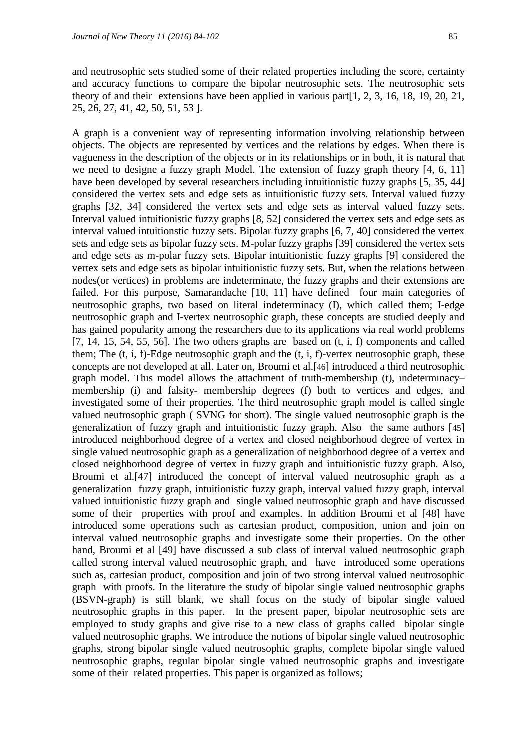and neutrosophic sets studied some of their related properties including the score, certainty and accuracy functions to compare the bipolar neutrosophic sets. The neutrosophic sets theory of and their extensions have been applied in various part[1, 2, 3, 16, 18, 19, 20, 21, 25, 26, 27, 41, 42, 50, 51, 53 ].

A graph is a convenient way of representing information involving relationship between objects. The objects are represented by vertices and the relations by edges. When there is vagueness in the description of the objects or in its relationships or in both, it is natural that we need to designe a fuzzy graph Model. The extension of fuzzy graph theory [4, 6, 11] have been developed by several researchers including intuitionistic fuzzy graphs [5, 35, 44] considered the vertex sets and edge sets as intuitionistic fuzzy sets. Interval valued fuzzy graphs [32, 34] considered the vertex sets and edge sets as interval valued fuzzy sets. Interval valued intuitionistic fuzzy graphs [8, 52] considered the vertex sets and edge sets as interval valued intuitionstic fuzzy sets. Bipolar fuzzy graphs [6, 7, 40] considered the vertex sets and edge sets as bipolar fuzzy sets. M-polar fuzzy graphs [39] considered the vertex sets and edge sets as m-polar fuzzy sets. Bipolar intuitionistic fuzzy graphs [9] considered the vertex sets and edge sets as bipolar intuitionistic fuzzy sets. But, when the relations between nodes(or vertices) in problems are indeterminate, the fuzzy graphs and their extensions are failed. For this purpose, Samarandache [10, 11] have defined four main categories of neutrosophic graphs, two based on literal indeterminacy (I), which called them; I-edge neutrosophic graph and I-vertex neutrosophic graph, these concepts are studied deeply and has gained popularity among the researchers due to its applications via real world problems  $[7, 14, 15, 54, 55, 56]$ . The two others graphs are based on  $(t, i, f)$  components and called them; The (t, i, f)-Edge neutrosophic graph and the (t, i, f)-vertex neutrosophic graph, these concepts are not developed at all. Later on, Broumi et al.[46] introduced a third neutrosophic graph model. This model allows the attachment of truth-membership (t), indeterminacy– membership (i) and falsity- membership degrees (f) both to vertices and edges, and investigated some of their properties. The third neutrosophic graph model is called single valued neutrosophic graph ( SVNG for short). The single valued neutrosophic graph is the generalization of fuzzy graph and intuitionistic fuzzy graph. Also the same authors [45] introduced neighborhood degree of a vertex and closed neighborhood degree of vertex in single valued neutrosophic graph as a generalization of neighborhood degree of a vertex and closed neighborhood degree of vertex in fuzzy graph and intuitionistic fuzzy graph. Also, Broumi et al.[47] introduced the concept of interval valued neutrosophic graph as a generalization fuzzy graph, intuitionistic fuzzy graph, interval valued fuzzy graph, interval valued intuitionistic fuzzy graph and single valued neutrosophic graph and have discussed some of their properties with proof and examples. In addition Broumi et al [48] have introduced some operations such as cartesian product, composition, union and join on interval valued neutrosophic graphs and investigate some their properties. On the other hand, Broumi et al [49] have discussed a sub class of interval valued neutrosophic graph called strong interval valued neutrosophic graph, and have introduced some operations such as, cartesian product, composition and join of two strong interval valued neutrosophic graph with proofs. In the literature the study of bipolar single valued neutrosophic graphs (BSVN-graph) is still blank, we shall focus on the study of bipolar single valued neutrosophic graphs in this paper. In the present paper, bipolar neutrosophic sets are employed to study graphs and give rise to a new class of graphs called bipolar single valued neutrosophic graphs. We introduce the notions of bipolar single valued neutrosophic graphs, strong bipolar single valued neutrosophic graphs, complete bipolar single valued neutrosophic graphs, regular bipolar single valued neutrosophic graphs and investigate some of their related properties. This paper is organized as follows;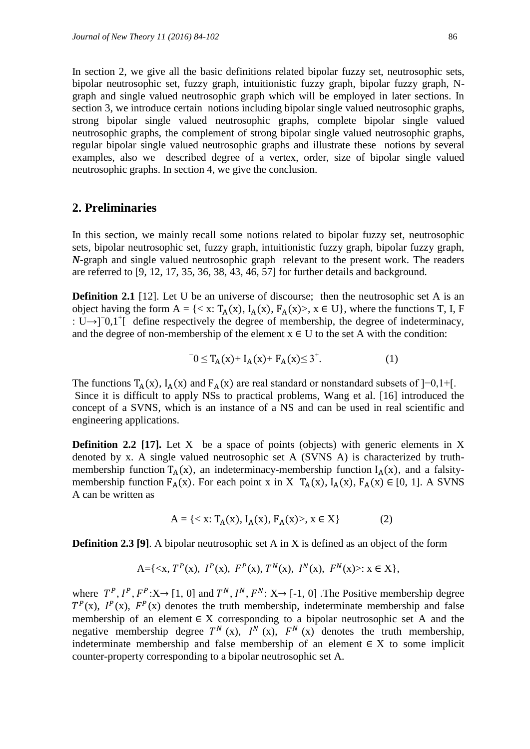In section 2, we give all the basic definitions related bipolar fuzzy set, neutrosophic sets, bipolar neutrosophic set, fuzzy graph, intuitionistic fuzzy graph, bipolar fuzzy graph, Ngraph and single valued neutrosophic graph which will be employed in later sections. In section 3, we introduce certain notions including bipolar single valued neutrosophic graphs, strong bipolar single valued neutrosophic graphs, complete bipolar single valued neutrosophic graphs, the complement of strong bipolar single valued neutrosophic graphs, regular bipolar single valued neutrosophic graphs and illustrate these notions by several examples, also we described degree of a vertex, order, size of bipolar single valued neutrosophic graphs. In section 4, we give the conclusion.

# **2. Preliminaries**

In this section, we mainly recall some notions related to bipolar fuzzy set, neutrosophic sets, bipolar neutrosophic set, fuzzy graph, intuitionistic fuzzy graph, bipolar fuzzy graph, *N-*graph and single valued neutrosophic graph relevant to the present work. The readers are referred to [9, 12, 17, 35, 36, 38, 43, 46, 57] for further details and background.

**Definition 2.1** [12]. Let U be an universe of discourse; then the neutrosophic set A is an object having the form  $A = \{ \langle x : T_A(x), I_A(x), F_A(x) \rangle, x \in U \}$ , where the functions T, I, F : U→]<sup>−</sup> 0,1<sup>+</sup> [ define respectively the degree of membership, the degree of indeterminacy, and the degree of non-membership of the element  $x \in U$  to the set A with the condition:

$$
0 \le T_A(x) + I_A(x) + F_A(x) \le 3^+.
$$
 (1)

The functions  $T_A(x)$ ,  $I_A(x)$  and  $F_A(x)$  are real standard or nonstandard subsets of ]–0,1+[. Since it is difficult to apply NSs to practical problems, Wang et al. [16] introduced the concept of a SVNS, which is an instance of a NS and can be used in real scientific and engineering applications.

**Definition 2.2 [17].** Let X be a space of points (objects) with generic elements in X denoted by x. A single valued neutrosophic set A (SVNS A) is characterized by truthmembership function  $T_A(x)$ , an indeterminacy-membership function  $I_A(x)$ , and a falsitymembership function  $F_A(x)$ . For each point x in X  $T_A(x)$ ,  $I_A(x)$ ,  $F_A(x) \in [0, 1]$ . A SVNS A can be written as

$$
A = \{ \langle x : T_A(x), I_A(x), F_A(x) \rangle, x \in X \}
$$
 (2)

**Definition 2.3 [9].** A bipolar neutrosophic set A in X is defined as an object of the form

$$
A = \{ \langle x, T^P(x), I^P(x), F^P(x), T^N(x), I^N(x), F^N(x) \rangle : x \in X \},
$$

where  $T^P$ ,  $I^P$ ,  $F^P$ :  $X \rightarrow [1, 0]$  and  $T^N$ ,  $I^N$ ,  $F^N$ :  $X \rightarrow [1, 0]$ . The Positive membership degree  $T^{P}(x)$ ,  $I^{P}(x)$ ,  $F^{P}(x)$  denotes the truth membership, indeterminate membership and false membership of an element  $\in X$  corresponding to a bipolar neutrosophic set A and the negative membership degree  $T^N$  (x),  $I^N$  (x),  $F^N$  (x) denotes the truth membership, indeterminate membership and false membership of an element  $\in X$  to some implicit counter-property corresponding to a bipolar neutrosophic set A.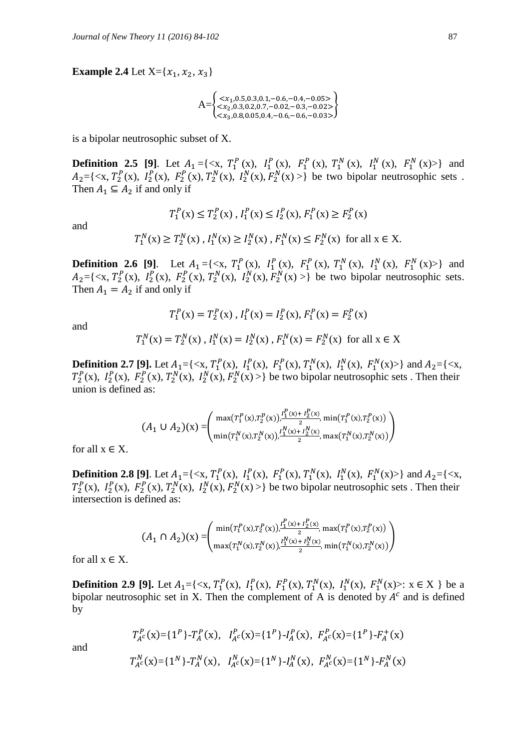**Example 2.4** Let  $X = \{x_1, x_2, x_3\}$ 

$$
A = \n\begin{cases}\n& x1, 0.5, 0.3, 0.1, -0.6, -0.4, -0.05> \\
& x2, 0.3, 0.2, 0.7, -0.02, -0.3, -0.02> \\
& x3, 0.8, 0.05, 0.4, -0.6, -0.6, -0.03>\n\end{cases}
$$

is a bipolar neutrosophic subset of X.

**Definition 2.5** [9]. Let  $A_1 = \{ \langle x, T_1^P(x), I_1^P(x), F_1^P(x), T_1^N(x), I_1^N(x), F_1^N(x) \rangle \}$  and  $A_2 = \{ \langle x, T_2^P(x), I_2^P(x), F_2^P(x), T_2^N(x), I_2^N(x), F_2^N(x) \rangle \}$  be two bipolar neutrosophic sets. Then  $A_1 \subseteq A_2$  if and only if

and

$$
T_1^P(x) \le T_2^P(x), I_1^P(x) \le I_2^P(x), F_1^P(x) \ge F_2^P(x)
$$

$$
T_1^N(x) \ge T_2^N(x)
$$
,  $I_1^N(x) \ge I_2^N(x)$ ,  $F_1^N(x) \le F_2^N(x)$  for all  $x \in X$ .

**Definition 2.6 [9].** Let  $A_1 = \{ \langle x, T_1^P(x), I_1^P(x), F_1^P(x), T_1^N(x), I_1^N(x), F_1^N(x) \rangle \}$  and  $A_2 = \{ \langle x, T_2^P(x), I_2^P(x), F_2^P(x), T_2^N(x), I_2^N(x), F_2^N(x) \rangle \}$  be two bipolar neutrosophic sets. Then  $A_1 = A_2$  if and only if

and

$$
T_1^P(x) = T_2^P(x), I_1^P(x) = I_2^P(x), F_1^P(x) = F_2^P(x)
$$

$$
T_1^N(x) = T_2^N(x), I_1^N(x) = I_2^N(x), F_1^N(x) = F_2^N(x) \text{ for all } x \in X
$$

**Definition 2.7 [9].** Let  $A_1 = \{ \langle x, T_1^P(x), I_1^P(x), F_1^P(x), T_1^N(x), I_1^N(x), F_1^N(x) \rangle \}$  and  $A_2 = \{ \langle x, T_1^P(x), I_1^P(x), I_1^N(x), F_1^N(x) \rangle \}$  $T_2^P(x)$ ,  $I_2^P(x)$ ,  $F_2^P(x)$ ,  $T_2^N(x)$ ,  $I_2^N(x)$ ,  $F_2^N(x)$  > be two bipolar neutrosophic sets. Then their union is defined as:

$$
(A_1 \cup A_2)(x) = \left( \frac{\max(T_1^P(x), T_2^P(x)) \cdot \frac{I_1^P(x) + I_2^P(x)}{2}}{\min(T_1^N(x), T_2^N(x)) \cdot \frac{I_1^N(x) + I_2^N(x)}{2}}, \max(T_1^N(x), T_2^N(x)) \right)
$$

for all  $x \in X$ .

**Definition 2.8 [9]**. Let  $A_1 = \{ \langle x, T_1^P(x), I_1^P(x), F_1^P(x), T_1^N(x), I_1^N(x), F_1^N(x) \rangle \}$  and  $A_2 = \{ \langle x, T_1^P(x), I_1^P(x), I_1^N(x), F_1^N(x) \rangle \}$  $T_2^P(x)$ ,  $I_2^P(x)$ ,  $F_2^P(x)$ ,  $T_2^N(x)$ ,  $I_2^N(x)$ ,  $F_2^N(x)$  > be two bipolar neutrosophic sets. Then their intersection is defined as:

$$
(A_1 \cap A_2)(x) = \left( \frac{\min(T_1^P(x), T_2^P(x)) \cdot \frac{I_1^P(x) + I_2^P(x)}{2}}{\max(T_1^N(x), T_2^N(x)) \cdot \frac{I_1^N(x) + I_2^N(x)}{2}} \cdot \min(T_1^N(x), T_2^N(x)) \right)
$$

for all  $x \in X$ .

and

**Definition 2.9 [9].** Let  $A_1 = \{ \langle x, T_1^P(x), I_1^P(x), F_1^P(x), T_1^N(x), I_1^N(x), F_1^N(x) \rangle : x \in X \}$  be a bipolar neutrosophic set in X. Then the complement of A is denoted by  $A<sup>c</sup>$  and is defined by

$$
T_{A^c}^P(x) = \{1^P\} - T_A^P(x), \quad I_{A^c}^P(x) = \{1^P\} - I_A^P(x), \quad F_{A^c}^P(x) = \{1^P\} - F_A^+(x)
$$

$$
T_{A^c}^N(x) = \{1^N\} - T_A^N(x), \quad I_{A^c}^N(x) = \{1^N\} - I_A^N(x), \quad F_{A^c}^N(x) = \{1^N\} - F_A^N(x)
$$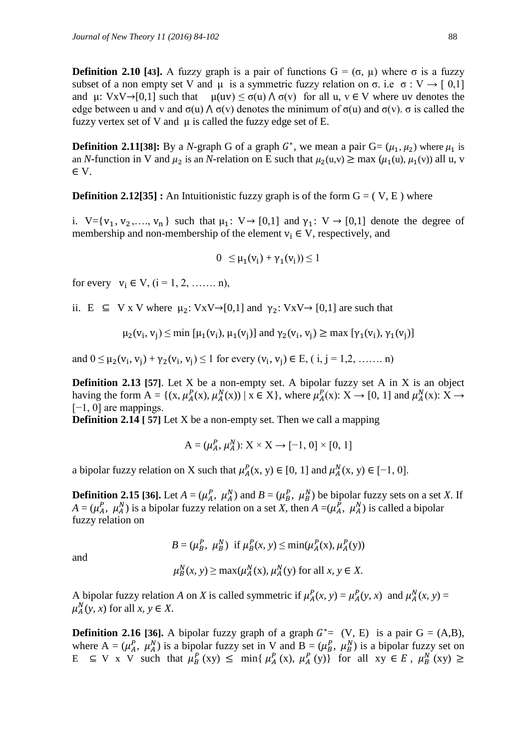**Definition 2.10 [43].** A fuzzy graph is a pair of functions  $G = (\sigma, \mu)$  where  $\sigma$  is a fuzzy subset of a non empty set V and  $\mu$  is a symmetric fuzzy relation on  $\sigma$ . i.e  $\sigma : V \to [0,1]$ and  $\mu: VxV \rightarrow [0,1]$  such that  $\mu(uv) \leq \sigma(u) \wedge \sigma(v)$  for all u,  $v \in V$  where uv denotes the edge between u and v and  $\sigma(u) \wedge \sigma(v)$  denotes the minimum of  $\sigma(u)$  and  $\sigma(v)$ .  $\sigma$  is called the fuzzy vertex set of V and  $\mu$  is called the fuzzy edge set of E.

**Definition 2.11[38]:** By a *N*-graph G of a graph  $G^*$ , we mean a pair  $G = (\mu_1, \mu_2)$  where  $\mu_1$  is an *N*-function in V and  $\mu_2$  is an *N*-relation on E such that  $\mu_2(u,v) \ge \max (\mu_1(u), \mu_1(v))$  all u, v ∈ V.

**Definition 2.12[35] :** An Intuitionistic fuzzy graph is of the form  $G = (V, E)$  where

i.  $V=[v_1, v_2, \ldots, v_n]$  such that  $\mu_1: V \rightarrow [0,1]$  and  $\gamma_1: V \rightarrow [0,1]$  denote the degree of membership and non-membership of the element  $v_i \in V$ , respectively, and

$$
0 \leq \mu_1(v_i) + \gamma_1(v_i)) \leq 1
$$

for every  $v_i \in V$ ,  $(i = 1, 2, \dots, n)$ ,

ii.  $E \subseteq V x V$  where  $\mu_2: VxV \rightarrow [0,1]$  and  $\gamma_2: VxV \rightarrow [0,1]$  are such that

$$
\mu_2(v_i, v_i) \le \min [\mu_1(v_i), \mu_1(v_i)]
$$
 and  $\gamma_2(v_i, v_i) \ge \max [\gamma_1(v_i), \gamma_1(v_i)]$ 

and  $0 \leq \mu_2(v_i, v_i) + \gamma_2(v_i, v_i) \leq 1$  for every  $(v_i, v_i) \in E$ ,  $(i, j = 1, 2, \dots, n)$ 

**Definition 2.13 [57]**. Let X be a non-empty set. A bipolar fuzzy set A in X is an object having the form  $A = \{(x, \mu_A^P(x), \mu_A^N(x)) \mid x \in X\}$ , where  $\mu_A^P(x): X \to [0, 1]$  and  $\mu_A^N(x): X \to$  $[-1, 0]$  are mappings.

**Definition 2.14 [ 57]** Let X be a non-empty set. Then we call a mapping

$$
A = (\mu_A^P, \mu_A^N): X \times X \to [-1, 0] \times [0, 1]
$$

a bipolar fuzzy relation on X such that  $\mu_A^P(x, y) \in [0, 1]$  and  $\mu_A^N(x, y) \in [-1, 0]$ .

**Definition 2.15** [36]. Let  $A = (\mu_A^P, \ \mu_A^N)$  and  $B = (\mu_B^P, \ \mu_B^N)$  be bipolar fuzzy sets on a set *X*. If  $A = (\mu_A^P, \mu_A^N)$  is a bipolar fuzzy relation on a set *X*, then  $A = (\mu_A^P, \mu_A^N)$  is called a bipolar fuzzy relation on

$$
B = (\mu_B^P, \ \mu_B^N) \text{ if } \mu_B^P(x, y) \le \min(\mu_A^P(x), \mu_A^P(y))
$$

and

$$
\mu_B^N(x, y) \ge \max(\mu_A^N(x), \mu_A^N(y) \text{ for all } x, y \in X.
$$

A bipolar fuzzy relation A on X is called symmetric if  $\mu_A^P(x, y) = \mu_A^P(y, x)$  and  $\mu_A^N(x, y) =$  $\mu_A^N(y, x)$  for all  $x, y \in X$ .

**Definition 2.16 [36].** A bipolar fuzzy graph of a graph  $G^* = (V, E)$  is a pair  $G = (A,B)$ , where  $A = (\mu_A^P, \mu_A^N)$  is a bipolar fuzzy set in V and  $B = (\mu_B^P, \mu_B^N)$  is a bipolar fuzzy set on  $E \subseteq V$  x V such that  $\mu_B^P(xy) \le \min\{ \mu_A^P(x), \mu_A^P(y) \}$  for all  $xy \in E$ ,  $\mu_B^N(xy)$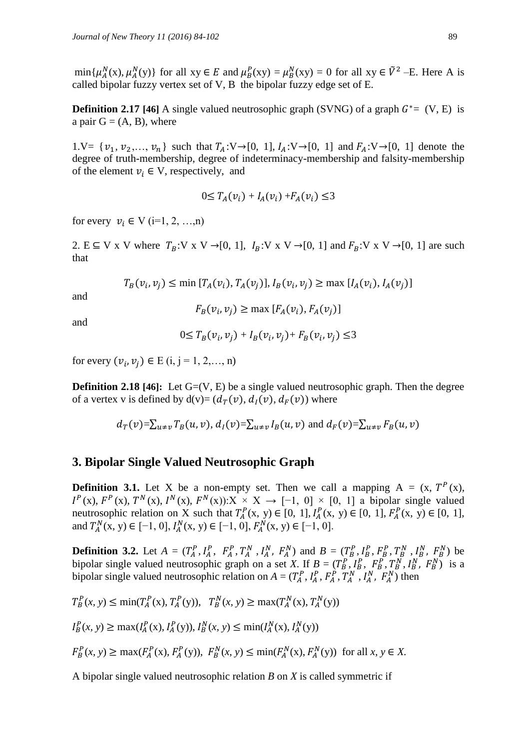$\min\{\mu_A^N(x), \mu_A^N(y)\}\$ for all  $xy \in E$  and  $\mu_B^P(xy) = \mu_B^N(xy) = 0$  for all  $xy \in \tilde{V}^2$  -E. Here A is called bipolar fuzzy vertex set of V, B the bipolar fuzzy edge set of E.

**Definition 2.17** [46] A single valued neutrosophic graph (SVNG) of a graph  $G^* = (V, E)$  is a pair  $G = (A, B)$ , where

1.V=  $\{v_1, v_2,..., v_n\}$  such that  $T_A: V \to [0, 1], I_A: V \to [0, 1]$  and  $F_A: V \to [0, 1]$  denote the degree of truth-membership, degree of indeterminacy-membership and falsity-membership of the element  $v_i \in V$ , respectively, and

$$
0 \leq T_A(v_i) + I_A(v_i) + F_A(v_i) \leq 3
$$

for every  $v_i \in V$  (i=1, 2, ...,n)

2. E  $\subseteq$  V x V where  $T_B: V \times V \rightarrow [0, 1]$ ,  $I_B: V \times V \rightarrow [0, 1]$  and  $F_B: V \times V \rightarrow [0, 1]$  are such that

$$
T_B(v_i, v_j) \le \min [T_A(v_i), T_A(v_j)], I_B(v_i, v_j) \ge \max [I_A(v_i), I_A(v_j)]
$$

and

$$
F_B(v_i, v_j) \ge \max [F_A(v_i), F_A(v_j)]
$$

and

$$
0 \leq T_B(v_i, v_j) + I_B(v_i, v_j) + F_B(v_i, v_j) \leq 3
$$

for every  $(v_i, v_j) \in E$  (i, j = 1, 2,..., n)

**Definition 2.18 [46]:** Let  $G=(V, E)$  be a single valued neutrosophic graph. Then the degree of a vertex v is defined by  $d(v) = (d<sub>T</sub>(v), d<sub>I</sub>(v), d<sub>F</sub>(v))$  where

$$
d_T(v) = \sum_{u \neq v} T_B(u, v), d_I(v) = \sum_{u \neq v} I_B(u, v)
$$
 and  $d_F(v) = \sum_{u \neq v} F_B(u, v)$ 

## **3. Bipolar Single Valued Neutrosophic Graph**

**Definition 3.1.** Let X be a non-empty set. Then we call a mapping  $A = (x, T<sup>P</sup>(x))$ ,  $I^{P}(x)$ ,  $F^{P}(x)$ ,  $T^{N}(x)$ ,  $I^{N}(x)$ ,  $F^{N}(x)$ ): $X \times X \rightarrow [-1, 0] \times [0, 1]$  a bipolar single valued neutrosophic relation on X such that  $T_A^P(x, y) \in [0, 1]$ ,  $I_A^P(x, y) \in [0, 1]$ ,  $F_A^P(x, y) \in [0, 1]$ , and  $T_A^N(x, y) \in [-1, 0]$ ,  $I_A^N(x, y) \in [-1, 0]$ ,  $F_A^N(x, y) \in [-1, 0]$ .

**Definition 3.2.** Let  $A = (T_A^P, I_A^P, F_A^P, T_A^N, I_A^N, F_A^N)$  and  $B = (T_B^P, I_B^P, F_B^P, T_B^N, I_B^N, F_B^N)$  be bipolar single valued neutrosophic graph on a set *X*. If  $B = (T_B^P, I_B^P, F_B^P, T_B^N, I_B^N, F_B^N)$  is a bipolar single valued neutrosophic relation on  $A = (T_A^P, I_A^P, F_A^P, T_A^N, I_A^N, F_A^N)$  then

$$
T_B^P(x, y) \le \min(T_A^P(x), T_A^P(y)), T_B^N(x, y) \ge \max(T_A^N(x), T_A^N(y))
$$

$$
I_B^P(x, y) \ge \max(I_A^P(x), I_A^P(y)), I_B^N(x, y) \le \min(I_A^N(x), I_A^N(y))
$$

$$
F_R^P(x, y) \ge \max(F_A^P(x), F_A^P(y)), F_B^N(x, y) \le \min(F_A^N(x), F_A^N(y))
$$
 for all  $x, y \in X$ .

A bipolar single valued neutrosophic relation *B* on *X* is called symmetric if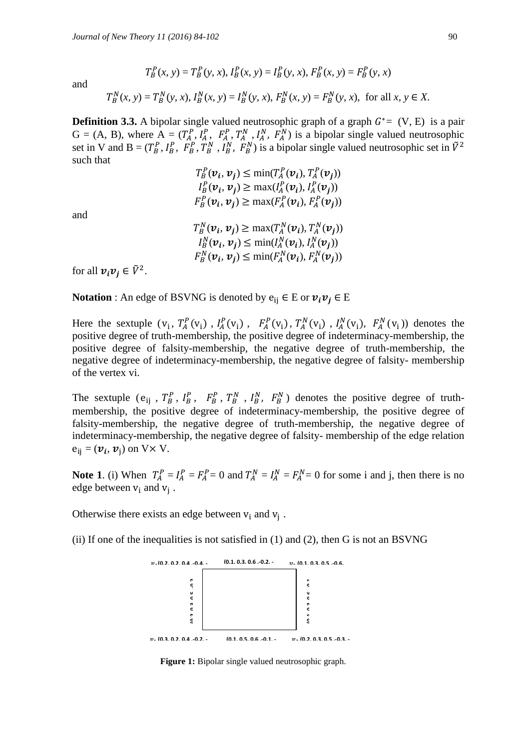and

$$
T_B^P(x, y) = T_B^P(y, x), I_B^P(x, y) = I_B^P(y, x), F_B^P(x, y) = F_B^P(y, x)
$$

$$
T_B^N(x, y) = T_B^N(y, x), I_B^N(x, y) = I_B^N(y, x), F_B^N(x, y) = F_B^N(y, x), \text{ for all } x, y \in X.
$$

**Definition 3.3.** A bipolar single valued neutrosophic graph of a graph  $G^* = (V, E)$  is a pair  $G = (A, B)$ , where  $A = (T_A^P, I_A^P, F_A^P, T_A^N, I_A^N, F_A^N)$  is a bipolar single valued neutrosophic set in V and  $B = (T_B^P, I_B^P, T_B^P, T_B^N, I_B^N, F_B^N)$  is a bipolar single valued neutrosophic set in  $\tilde{V}^2$ such that

$$
T_B^P(\boldsymbol{\nu}_i, \boldsymbol{\nu}_j) \le \min(T_A^P(\boldsymbol{\nu}_i), T_A^P(\boldsymbol{\nu}_j))
$$
  
\n
$$
I_B^P(\boldsymbol{\nu}_i, \boldsymbol{\nu}_j) \ge \max(I_A^P(\boldsymbol{\nu}_i), I_A^P(\boldsymbol{\nu}_j))
$$
  
\n
$$
F_B^P(\boldsymbol{\nu}_i, \boldsymbol{\nu}_j) \ge \max(F_A^P(\boldsymbol{\nu}_i), F_A^P(\boldsymbol{\nu}_j))
$$

and

$$
T_B^N(\boldsymbol{\nu}_i, \boldsymbol{\nu}_j) \ge \max(T_A^N(\boldsymbol{\nu}_i), T_A^N(\boldsymbol{\nu}_j))
$$
  
\n
$$
I_B^N(\boldsymbol{\nu}_i, \boldsymbol{\nu}_j) \le \min(I_A^N(\boldsymbol{\nu}_i), I_A^N(\boldsymbol{\nu}_j))
$$
  
\n
$$
F_B^N(\boldsymbol{\nu}_i, \boldsymbol{\nu}_j) \le \min(F_A^N(\boldsymbol{\nu}_i), F_A^N(\boldsymbol{\nu}_j))
$$

for all  $v_i v_j \in \tilde{V}^2$ .

**Notation** : An edge of BSVNG is denoted by  $e_{ii} \in E$  or  $v_i v_j \in E$ 

Here the sextuple  $(v_i, T_A^P(v_i), I_A^P(v_i), F_A^P(v_i), T_A^N(v_i), I_A^N(v_i), F_A^N(v_i))$  denotes the positive degree of truth-membership, the positive degree of indeterminacy-membership, the positive degree of falsity-membership, the negative degree of truth-membership, the negative degree of indeterminacy-membership, the negative degree of falsity- membership of the vertex vi.

The sextuple ( $e_{ii}$ ,  $T_B^P$ ,  $I_B^P$ ,  $F_B^P$ ,  $T_B^N$ ,  $I_B^N$ ,  $F_B^N$ ) denotes the positive degree of truthmembership, the positive degree of indeterminacy-membership, the positive degree of falsity-membership, the negative degree of truth-membership, the negative degree of indeterminacy-membership, the negative degree of falsity- membership of the edge relation  $e_{ii} = (\boldsymbol{v}_i, \boldsymbol{v}_i)$  on  $V \times V$ .

**Note 1.** (i) When  $T_A^P = I_A^P = F_A^P = 0$  and  $T_A^N = I_A^N = F_A^N = 0$  for some i and j, then there is no edge between  $v_i$  and  $v_i$ .

Otherwise there exists an edge between  $v_i$  and  $v_i$ .

(ii) If one of the inequalities is not satisfied in  $(1)$  and  $(2)$ , then G is not an BSVNG



**Figure 1:** Bipolar single valued neutrosophic graph.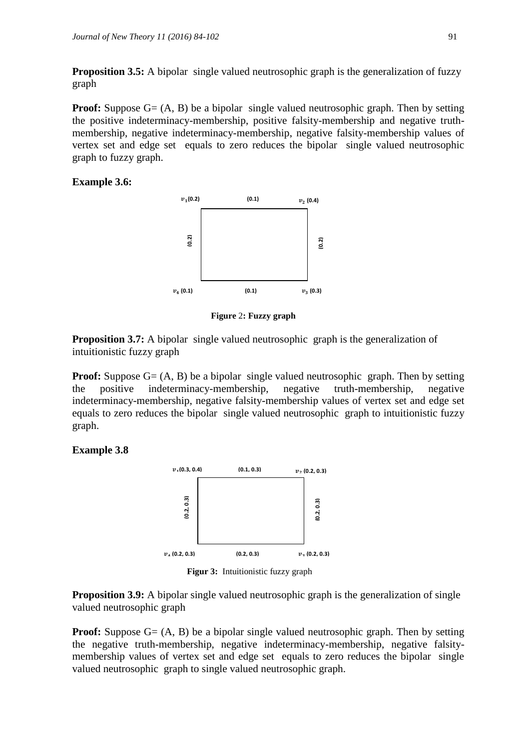**Proposition 3.5:** A bipolar single valued neutrosophic graph is the generalization of fuzzy graph

**Proof:** Suppose G= (A, B) be a bipolar single valued neutrosophic graph. Then by setting the positive indeterminacy-membership, positive falsity-membership and negative truthmembership, negative indeterminacy-membership, negative falsity-membership values of vertex set and edge set equals to zero reduces the bipolar single valued neutrosophic graph to fuzzy graph.

### **Example 3.6:**



**Figure** 2**: Fuzzy graph**

**Proposition 3.7:** A bipolar single valued neutrosophic graph is the generalization of intuitionistic fuzzy graph

**Proof:** Suppose G= (A, B) be a bipolar single valued neutrosophic graph. Then by setting the positive indeterminacy-membership, negative truth-membership, negative indeterminacy-membership, negative falsity-membership values of vertex set and edge set equals to zero reduces the bipolar single valued neutrosophic graph to intuitionistic fuzzy graph.

## **Example 3.8**



**Figur 3:** Intuitionistic fuzzy graph

**Proposition 3.9:** A bipolar single valued neutrosophic graph is the generalization of single valued neutrosophic graph

**Proof:** Suppose G= (A, B) be a bipolar single valued neutrosophic graph. Then by setting the negative truth-membership, negative indeterminacy-membership, negative falsitymembership values of vertex set and edge set equals to zero reduces the bipolar single **Example 1.1**  $\begin{bmatrix} 3 & 3 \\ 2 & 3 \\ 3 & 4 \end{bmatrix}$  (0.2, 0.3)<br> **Proposition 3.9:** A bipolar single valued neutrosophic graph is valued neutrosophic graph.<br> **Proof:** Suppose G= (A, B) be a bipolar single valued neutrosophic gra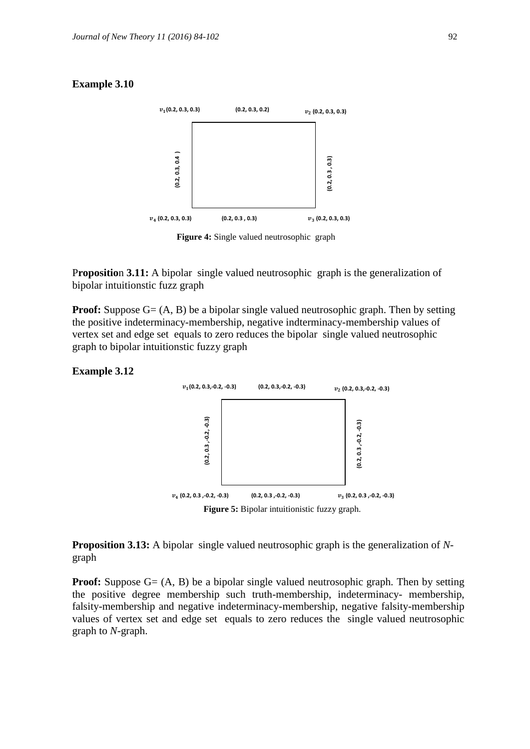### **Example 3.10**



 **Figure 4:** Single valued neutrosophic graph

P**ropositio**n **3.11:** A bipolar single valued neutrosophic graph is the generalization of bipolar intuitionstic fuzz graph

**Proof:** Suppose G= (A, B) be a bipolar single valued neutrosophic graph. Then by setting the positive indeterminacy-membership, negative indterminacy-membership values of vertex set and edge set equals to zero reduces the bipolar single valued neutrosophic graph to bipolar intuitionstic fuzzy graph

#### **Example 3.12**



**Proposition 3.13:** A bipolar single valued neutrosophic graph is the generalization of *N*graph

**Proof:** Suppose G= (A, B) be a bipolar single valued neutrosophic graph. Then by setting the positive degree membership such truth-membership, indeterminacy- membership, falsity-membership and negative indeterminacy-membership, negative falsity-membership values of vertex set and edge set equals to zero reduces the single valued neutrosophic graph to *N*-graph.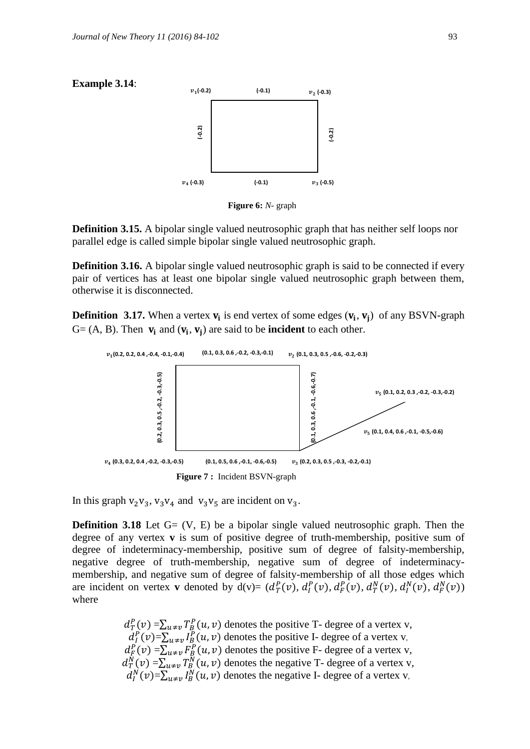

**Definition 3.15.** A bipolar single valued neutrosophic graph that has neither self loops nor parallel edge is called simple bipolar single valued neutrosophic graph.

**Definition 3.16.** A bipolar single valued neutrosophic graph is said to be connected if every pair of vertices has at least one bipolar single valued neutrosophic graph between them, otherwise it is disconnected.

**Definition 3.17.** When a vertex  $v_i$  is end vertex of some edges  $(v_i, v_i)$  of any BSVN-graph  $G = (A, B)$ . Then  $v_i$  and  $(v_i, v_j)$  are said to be **incident** to each other.



In this graph  $v_2v_3$ ,  $v_3v_4$  and  $v_3v_5$  are incident on  $v_3$ .

**Definition 3.18** Let G= (V, E) be a bipolar single valued neutrosophic graph. Then the degree of any vertex **v** is sum of positive degree of truth-membership, positive sum of degree of indeterminacy-membership, positive sum of degree of falsity-membership, negative degree of truth-membership, negative sum of degree of indeterminacymembership, and negative sum of degree of falsity-membership of all those edges which are incident on vertex **v** denoted by  $d(v) = (d_T^P(v), d_T^P(v), d_F^P(v), d_T^N(v), d_T^N(v), d_F^N(v))$ where

> $d_T^P(v) = \sum_{u \neq v} T_B^P(u, v)$  denotes the positive T- degree of a vertex v,  $d_l^P(v) = \sum_{u \neq v} l_B^P(u, v)$  denotes the positive I- degree of a vertex v,  $d_F^P(v) = \sum_{u \neq v} F_B^P(u, v)$  denotes the positive F- degree of a vertex v,  $d_T^N(v) = \sum_{u \neq v} T_B^N(u, v)$  denotes the negative T- degree of a vertex v,  $d_l^N(v) = \sum_{u \neq v} l_B^N(u, v)$  denotes the negative I- degree of a vertex v,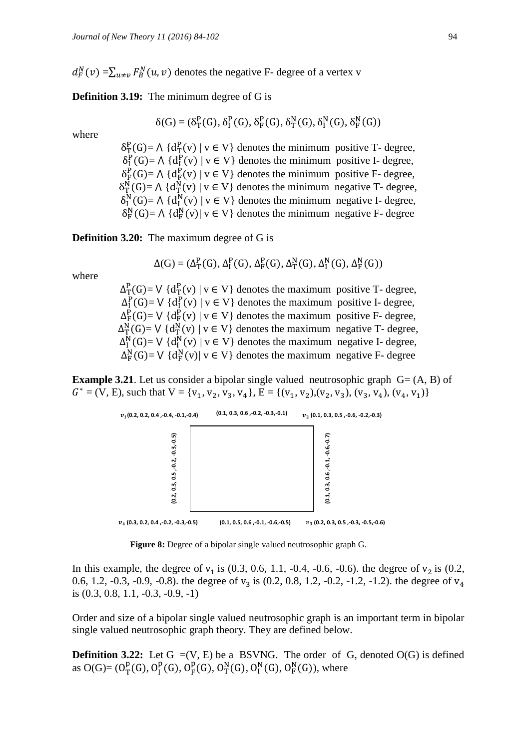$d_F^N(v) = \sum_{u \neq v} F_B^N(u, v)$  denotes the negative F- degree of a vertex v

**Definition 3.19:** The minimum degree of G is

$$
\delta(G) = (\delta^P_T(G), \delta^P_T(G), \delta^P_F(G), \delta^N_T(G), \delta^N_T(G), \delta^N_F(G))
$$

where

 $\delta_T^P(G) = \Lambda \{ d_T^P(v) \mid v \in V \}$  denotes the minimum positive T- degree,  $\delta_{I}^{P}(G) = \Lambda \{d_{I}^{P}(v) \mid v \in V\}$  denotes the minimum positive I- degree,  $\delta_F^P(G) = \Lambda \{ d_F^P(v) \mid v \in V \}$  denotes the minimum positive F- degree,  $\delta_T^N(G) = \Lambda \{ d_T^N(v) \mid v \in V \}$  denotes the minimum negative T- degree,  $\delta_I^N(G) = \Lambda \{ d_I^N(v) \mid v \in V \}$  denotes the minimum negative I- degree,  $\delta_F^N(G) = \Lambda \{ d_F^N(v) | v \in V \}$  denotes the minimum negative F- degree

**Definition 3.20:** The maximum degree of G is

$$
\Delta(G) = (\Delta^P_T(G), \Delta^P_T(G), \Delta^P_F(G), \Delta^N_T(G), \Delta^N_I(G), \Delta^N_F(G))
$$

where

 $\Delta_T^P(G) = V \{ d_T^P(v) \mid v \in V \}$  denotes the maximum positive T- degree,  $\Delta_1^P(G)$  =  $V$  {d<sub>I</sub><sup>P</sup>(v) | v  $\in$  V} denotes the maximum positive I- degree,  $\Delta_F^P(G)$  =  $V$  { $d_F^P(v)$  |  $v \in V$ } denotes the maximum positive F- degree,  $\Delta_{\rm T}^{\rm N}(\rm G)$  =  $\rm V$  {  $d_{\rm T}^{\rm N}(v)$  |  $v \in V$ } denotes the maximum negative T- degree,  $\Delta_I^N(G)$  =  $V$  {d<sub>I</sub><sup>N</sup>(v) | v  $\in$  V} denotes the maximum negative I- degree,  $\Delta_F^N(G)$  =  $V$  {  $d_F^N(v)$  | v  $\in V$ } denotes the maximum negative F- degree

**Example 3.21**. Let us consider a bipolar single valued neutrosophic graph  $G = (A, B)$  of  $G^* = (V, E)$ , such that  $V = \{v_1, v_2, v_3, v_4\}$ ,  $E = \{(v_1, v_2), (v_2, v_3), (v_3, v_4), (v_4, v_1)\}$ 



 **Figure 8:** Degree of a bipolar single valued neutrosophic graph G.

In this example, the degree of  $v_1$  is (0.3, 0.6, 1.1, -0.4, -0.6, -0.6). the degree of  $v_2$  is (0.2, 0.6, 1.2, -0.3, -0.9, -0.8). the degree of  $v_3$  is (0.2, 0.8, 1.2, -0.2, -1.2, -1.2). the degree of  $v_4$ is (0.3, 0.8, 1.1, -0.3, -0.9, -1)

Order and size of a bipolar single valued neutrosophic graph is an important term in bipolar single valued neutrosophic graph theory. They are defined below.

**Definition 3.22:** Let  $G = (V, E)$  be a BSVNG. The order of G, denoted  $O(G)$  is defined as  $O(G) = (O_T^p(G), O_T^p(G), O_F^p(G), O_T^N(G), O_T^N(G), O_F^N(G))$ , where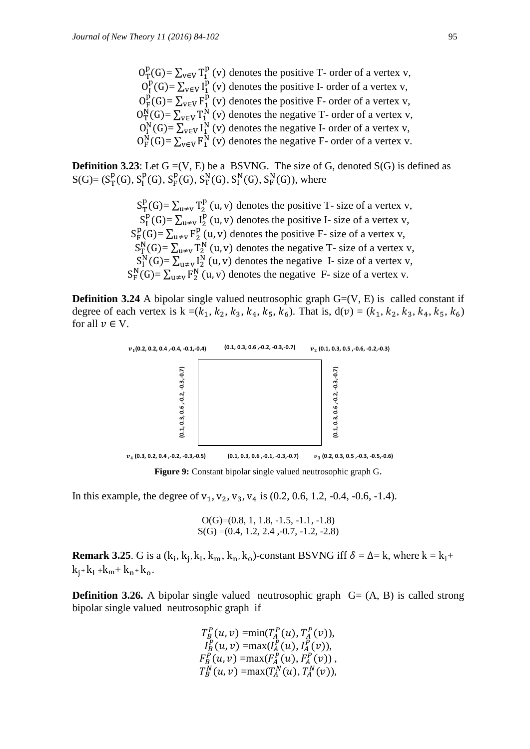$O_T^p(G) = \sum_{v \in V} T_1^p(v)$  denotes the positive T- order of a vertex v,  $Q_1^p(G) = \sum_{v \in V} I_1^p(v)$  denotes the positive I- order of a vertex v,  $O_F^p(G) = \sum_{v \in V} F_1^p(v)$  denotes the positive F- order of a vertex v,  $O_T^N(G) = \sum_{v \in V} T_1^N(v)$  denotes the negative T- order of a vertex v,  $O_1^N(G) = \sum_{v \in V} I_1^N(v)$  denotes the negative I- order of a vertex v,  $O_F^N(G) = \sum_{v \in V} F_1^N(v)$  denotes the negative F- order of a vertex v.

**Definition 3.23:** Let  $G = (V, E)$  be a BSVNG. The size of G, denoted  $S(G)$  is defined as  $S(G) = (S_T^p(G), S_T^p(G), S_F^p(G), S_T^N(G), S_I^N(G), S_F^N(G)),$  where

> $S_T^p(G) = \sum_{u \neq v} T_2^p(u, v)$  denotes the positive T- size of a vertex v,  $S_I^{\bar{p}}(G) = \sum_{u \neq v} I_2^{\bar{p}}(u, v)$  denotes the positive I- size of a vertex v,  $S_F^p(G) = \sum_{u \neq v} F_2^p(u, v)$  denotes the positive F- size of a vertex v,  $S_T^N(G) = \sum_{u \neq v} T_2^N(u, v)$  denotes the negative T- size of a vertex v,  $S_I^N(G) = \sum_{u \neq v} I_2^N(u, v)$  denotes the negative I- size of a vertex v,  $S_F^N(G) = \sum_{u \neq v} F_2^N(u, v)$  denotes the negative F- size of a vertex v.

**Definition 3.24** A bipolar single valued neutrosophic graph  $G=(V, E)$  is called constant if degree of each vertex is  $k = (k_1, k_2, k_3, k_4, k_5, k_6)$ . That is,  $d(v) = (k_1, k_2, k_3, k_4, k_5, k_6)$ for all  $v \in V$ .



**Figure 9:** Constant bipolar single valued neutrosophic graph G.

In this example, the degree of  $v_1$ ,  $v_2$ ,  $v_3$ ,  $v_4$  is (0.2, 0.6, 1.2, -0.4, -0.6, -1.4).

$$
O(G)=(0.8, 1, 1.8, -1.5, -1.1, -1.8)
$$
  
 $S(G)=(0.4, 1.2, 2.4, -0.7, -1.2, -2.8)$ 

**Remark 3.25.** G is a  $(k_1, k_1, k_1, k_m, k_n, k_0)$ -constant BSVNG iff  $\delta = \Delta = k$ , where  $k = k_1 +$  $k_1 + k_1 + k_m + k_n + k_o.$ 

**Definition 3.26.** A bipolar single valued neutrosophic graph  $G = (A, B)$  is called strong bipolar single valued neutrosophic graph if

$$
T_{B}^{P}(u, v) = \min(T_{A}^{P}(u), T_{A}^{P}(v)),
$$
  
\n
$$
I_{B}^{P}(u, v) = \max(I_{A}^{P}(u), I_{A}^{P}(v)),
$$
  
\n
$$
F_{B}^{P}(u, v) = \max(F_{A}^{P}(u), F_{A}^{P}(v)),
$$
  
\n
$$
T_{B}^{N}(u, v) = \max(T_{A}^{N}(u), T_{A}^{N}(v)),
$$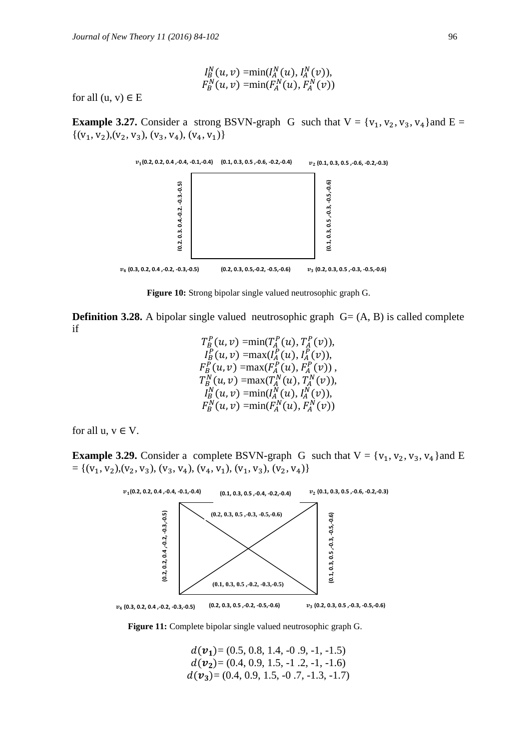$$
I_{B}^{N}(u, v) = min(I_{A}^{N}(u), I_{A}^{N}(v)),
$$
  

$$
F_{B}^{N}(u, v) = min(F_{A}^{N}(u), F_{A}^{N}(v))
$$

for all  $(u, v) \in E$ 

**Example 3.27.** Consider a strong BSVN-graph G such that  $V = \{v_1, v_2, v_3, v_4\}$  and  $E =$  $\{(v_1, v_2), (v_2, v_3), (v_3, v_4), (v_4, v_1)\}\$ 



 **Figure 10:** Strong bipolar single valued neutrosophic graph G.

**Definition 3.28.** A bipolar single valued neutrosophic graph  $G = (A, B)$  is called complete if

> $T_B^P(u, v) = min(T_A^P(u), T_A^P(v)),$  $I_B^P(u, v) = \max(I_A^P(u), I_A^P(v)),$  $F_B^P(u, v) = \max(F_A^P(u), F_A^P(v))$ ,  $T_R^N(u, v) = \max(T_A^N(u), T_A^N(v)),$  $I_B^N(u, v) = min(I_A^N(u), I_A^N(v)),$  $F_B^N(u, v) = min(F_A^N(u), F_A^N(v))$

for all  $u, v \in V$ .

**Example 3.29.** Consider a complete BSVN-graph G such that  $V = \{v_1, v_2, v_3, v_4\}$  and E  $= \{ (v_1, v_2), (v_2, v_3), (v_3, v_4), (v_4, v_1), (v_1, v_3), (v_2, v_4) \}$ 



 **Figure 11:** Complete bipolar single valued neutrosophic graph G.

 $d(\mathbf{v}_1) = (0.5, 0.8, 1.4, -0.9, -1, -1.5)$  $d(v_2)=(0.4, 0.9, 1.5, -1.2, -1, -1.6)$  $d(\mathbf{v}_3) = (0.4, 0.9, 1.5, -0.7, -1.3, -1.7)$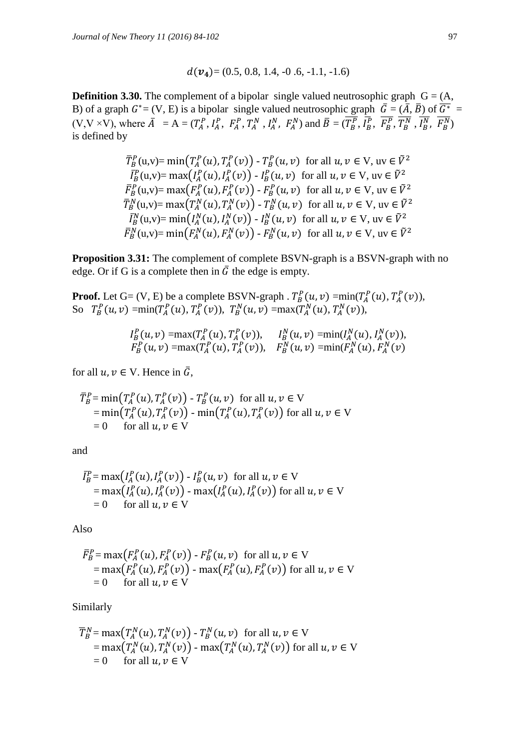$$
d(\mathbf{v}_4)=(0.5, 0.8, 1.4, -0.6, -1.1, -1.6)
$$

**Definition 3.30.** The complement of a bipolar single valued neutrosophic graph  $G = (A, A)$ B) of a graph  $G^* = (V, E)$  is a bipolar single valued neutrosophic graph  $\bar{G} = (\bar{A}, \bar{B})$  of  $\bar{G}^* =$  $(V, V \times V)$ , where  $\overline{A} = A = (T_A^P, I_A^P, F_A^P, T_A^N, I_A^N, F_A^N)$  and  $\overline{B} = (\overline{T_B^P}, \overline{I_B^P}, \overline{F_B^P}, \overline{T_B^N}, \overline{I_B^N}, \overline{F_B^N}, \overline{F_B^N})$ is defined by

$$
\begin{aligned}\n\bar{T}_B^P(u,v) &= \min\left(T_A^P(u), T_A^P(v)\right) - T_B^P(u,v) \quad \text{for all } u, v \in V, uv \in \tilde{V}^2 \\
\bar{I}_B^P(u,v) &= \max\left(I_A^P(u), I_A^P(v)\right) - I_B^P(u,v) \quad \text{for all } u, v \in V, uv \in \tilde{V}^2 \\
\bar{F}_B^P(u,v) &= \max\left(F_A^P(u), F_A^P(v)\right) - F_B^P(u,v) \quad \text{for all } u, v \in V, uv \in \tilde{V}^2 \\
\bar{T}_B^N(u,v) &= \max\left(T_A^N(u), T_A^N(v)\right) - T_B^N(u,v) \quad \text{for all } u, v \in V, uv \in \tilde{V}^2 \\
\bar{I}_B^N(u,v) &= \min\left(I_A^N(u), I_A^N(v)\right) - I_B^N(u,v) \quad \text{for all } u, v \in V, uv \in \tilde{V}^2 \\
\bar{F}_B^N(u,v) &= \min\left(F_A^N(u), F_A^N(v)\right) - F_B^N(u,v) \quad \text{for all } u, v \in V, uv \in \tilde{V}^2\n\end{aligned}
$$

**Proposition 3.31:** The complement of complete BSVN-graph is a BSVN-graph with no edge. Or if G is a complete then in  $\overline{G}$  the edge is empty.

**Proof.** Let G= (V, E) be a complete BSVN-graph .  $T_B^P(u, v) = min(T_A^P(u), T_A^P(v)),$ So  $T_B^P(u, v) = min(T_A^P(u), T_A^P(v)), T_B^N(u, v) = max(T_A^N(u), T_A^N(v)),$ 

$$
I_B^P(u, v) = \max(T_A^P(u), T_A^P(v)), \quad I_B^N(u, v) = \min(I_A^N(u), I_A^N(v)),
$$
  
\n
$$
F_B^P(u, v) = \max(T_A^P(u), T_A^P(v)), \quad F_B^N(u, v) = \min(F_A^N(u), F_A^N(v))
$$

for all  $u, v \in V$ . Hence in  $\overline{G}$ ,

$$
\overline{T}_B^P = \min(T_A^P(u), T_A^P(v)) - T_B^P(u, v) \text{ for all } u, v \in V
$$
  
=  $\min(T_A^P(u), T_A^P(v)) - \min(T_A^P(u), T_A^P(v))$  for all  $u, v \in V$   
= 0 for all  $u, v \in V$ 

and

$$
\overline{I}_B^P = \max(I_A^P(u), I_A^P(v)) - I_B^P(u, v) \text{ for all } u, v \in V
$$
  
=  $\max(I_A^P(u), I_A^P(v)) - \max(I_A^P(u), I_A^P(v))$  for all  $u, v \in V$   
= 0 for all  $u, v \in V$ 

Also

$$
\begin{aligned} \bar{F}_B^P &= \max \big( F_A^P(u), F_A^P(v) \big) - F_B^P(u, v) \quad \text{for all } u, v \in V \\ &= \max \big( F_A^P(u), F_A^P(v) \big) - \max \big( F_A^P(u), F_A^P(v) \big) \quad \text{for all } u, v \in V \\ &= 0 \quad \text{for all } u, v \in V \end{aligned}
$$

Similarly

$$
\overline{T}_B^N = \max(T_A^N(u), T_A^N(v)) - T_B^N(u, v) \text{ for all } u, v \in V
$$
  
= max $(T_A^N(u), T_A^N(v))$  - max $(T_A^N(u), T_A^N(v))$  for all  $u, v \in V$   
= 0 for all  $u, v \in V$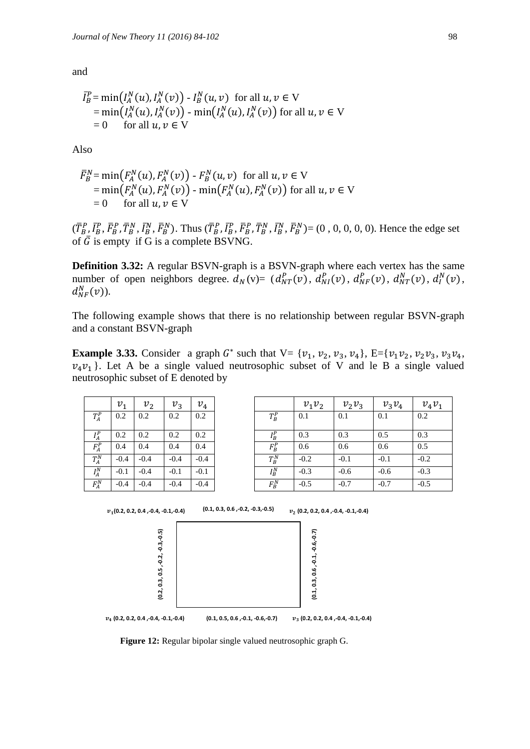and

$$
\overline{I}_B^P = \min(I_A^N(u), I_A^N(v)) - I_B^N(u, v) \text{ for all } u, v \in V
$$
  
= 
$$
\min(I_A^N(u), I_A^N(v)) - \min(I_A^N(u), I_A^N(v)) \text{ for all } u, v \in V
$$
  
= 0 \text{ for all } u, v \in V

Also

$$
\begin{aligned} \bar{F}_B^N &= \min\big(F_A^N(u), F_A^N(v)\big) \cdot F_B^N(u, v) \quad \text{for all } u, v \in V \\ &= \min\big(F_A^N(u), F_A^N(v)\big) \cdot \min\big(F_A^N(u), F_A^N(v)\big) \quad \text{for all } u, v \in V \\ &= 0 \quad \text{for all } u, v \in V \end{aligned}
$$

 $(\overline{T}_B^P, \overline{I}_B^P, \overline{T}_B^N, \overline{I}_B^N, \overline{F}_B^N)$ . Thus  $(\overline{T}_B^P, \overline{I}_B^P, \overline{T}_B^P, \overline{I}_B^N, \overline{I}_B^N, \overline{F}_B^N) = (0, 0, 0, 0, 0)$ . Hence the edge set of  $\bar{G}$  is empty if G is a complete BSVNG.

**Definition 3.32:** A regular BSVN-graph is a BSVN-graph where each vertex has the same number of open neighbors degree.  $d_N(v) = (d_{NT}^P(v), d_{NI}^P(v), d_{NF}^P(v), d_{NT}^N(v), d_I^N(v))$  $d_{NF}^N(v)$ ).

The following example shows that there is no relationship between regular BSVN-graph and a constant BSVN-graph

**Example 3.33.** Consider a graph  $G^*$  such that  $V = \{v_1, v_2, v_3, v_4\}$ ,  $E = \{v_1v_2, v_2v_3, v_3v_4, v_5v_5, v_6v_6, v_7v_7, v_8v_8, v_9v_7, v_1v_8, v_1v_9, v_1v_8, v_2v_9, v_1v_9, v_1v_8, v_1v_9, v_1v_8, v_1v_9, v_1v_8, v_1v_9, v_1v_8, v_$  $v_4v_1$ . Let A be a single valued neutrosophic subset of V and le B a single valued neutrosophic subset of E denoted by

|                    | $v_1$  | $v_2$  | $v_3$  | $v_4$  |                |
|--------------------|--------|--------|--------|--------|----------------|
| $T_A^{\,P}$        | 0.2    | 0.2    | 0.2    | 0.2    | $\overline{T}$ |
| $I^P_A$            | 0.2    | 0.2    | 0.2    | 0.2    | Ι              |
| $F_A^P$            | 0.4    | 0.4    | 0.4    | 0.4    | F              |
| $T_A^N$            | $-0.4$ | $-0.4$ | $-0.4$ | $-0.4$ | T              |
| $\overline{I_A^N}$ | $-0.1$ | $-0.4$ | $-0.1$ | $-0.1$ | I              |
| $F_A^N$            | $-0.4$ | $-0.4$ | $-0.4$ | $-0.4$ | F              |

|         | $v_1v_2$ | $v_2v_3$ | $v_3v_4$ | $v_4v_1$ |
|---------|----------|----------|----------|----------|
| $T^P_B$ | 0.1      | 0.1      | 0.1      | 0.2      |
| $I_B^P$ | 0.3      | 0.3      | 0.5      | 0.3      |
| $F_B^P$ | 0.6      | 0.6      | 0.6      | 0.5      |
| $T_B^N$ | $-0.2$   | $-0.1$   | $-0.1$   | $-0.2$   |
| $I_B^N$ | $-0.3$   | $-0.6$   | $-0.6$   | $-0.3$   |
| $F^N_B$ | $-0.5$   | $-0.7$   | $-0.7$   | $-0.5$   |



 **Figure 12:** Regular bipolar single valued neutrosophic graph G.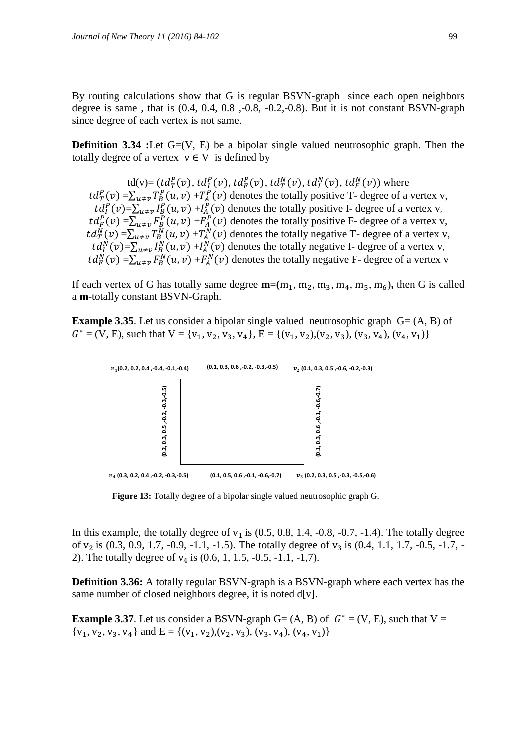By routing calculations show that G is regular BSVN-graph since each open neighbors degree is same , that is (0.4, 0.4, 0.8 ,-0.8, -0.2,-0.8). But it is not constant BSVN-graph since degree of each vertex is not same.

**Definition 3.34 :**Let G=(V, E) be a bipolar single valued neutrosophic graph. Then the totally degree of a vertex  $v \in V$  is defined by

td(v)= ( $td^P_T(v)$ ,  $td^P_I(v)$ ,  $td^P_F(v)$ ,  $td^N_T(v)$ ,  $td^N_I(v)$ ,  $td^N_F(v)$ ) where  $td^P_T(v) = \sum_{u \neq v} T^P_B(u, v) + T^P_A(v)$  denotes the totally positive T- degree of a vertex v,  $td_l^P(v)=\sum_{u\neq v}l_B^P(u,v)+l_A^P(v)$  denotes the totally positive I- degree of a vertex v,  $td_F^P(v) = \sum_{u \neq v} F_B^P(u, v) + F_A^P(v)$  denotes the totally positive F- degree of a vertex v,  $td^N_T(v) = \sum_{u \neq v} T^N_B(u,v) + T^N_A(v)$  denotes the totally negative T- degree of a vertex v,  $td_{I}^{N}(v)=\sum_{u\neq v}I_{B}^{N}(u,v)+I_{A}^{N}(v)$  denotes the totally negative I- degree of a vertex v,  $td_F^N(v) = \sum_{u \neq v} F_B^N(u, v) + F_A^N(v)$  denotes the totally negative F- degree of a vertex v

If each vertex of G has totally same degree  $m=(m_1, m_2, m_3, m_4, m_5, m_6)$ , then G is called a **m**-totally constant BSVN-Graph.

**Example 3.35**. Let us consider a bipolar single valued neutrosophic graph  $G = (A, B)$  of  $G^* = (V, E)$ , such that  $V = \{v_1, v_2, v_3, v_4\}$ ,  $E = \{(v_1, v_2), (v_2, v_3), (v_3, v_4), (v_4, v_1)\}$ 



 **Figure 13:** Totally degree of a bipolar single valued neutrosophic graph G.

In this example, the totally degree of  $v_1$  is (0.5, 0.8, 1.4, -0.8, -0.7, -1.4). The totally degree of  $v_2$  is (0.3, 0.9, 1.7, -0.9, -1.1, -1.5). The totally degree of  $v_3$  is (0.4, 1.1, 1.7, -0.5, -1.7, -2). The totally degree of  $v_4$  is (0.6, 1, 1.5, -0.5, -1.1, -1,7).

**Definition 3.36:** A totally regular BSVN-graph is a BSVN-graph where each vertex has the same number of closed neighbors degree, it is noted d[v].

**Example 3.37**. Let us consider a BSVN-graph G=  $(A, B)$  of  $G^* = (V, E)$ , such that V =  ${v_1, v_2, v_3, v_4}$  and  $E = { (v_1, v_2), (v_2, v_3), (v_3, v_4), (v_4, v_1) }$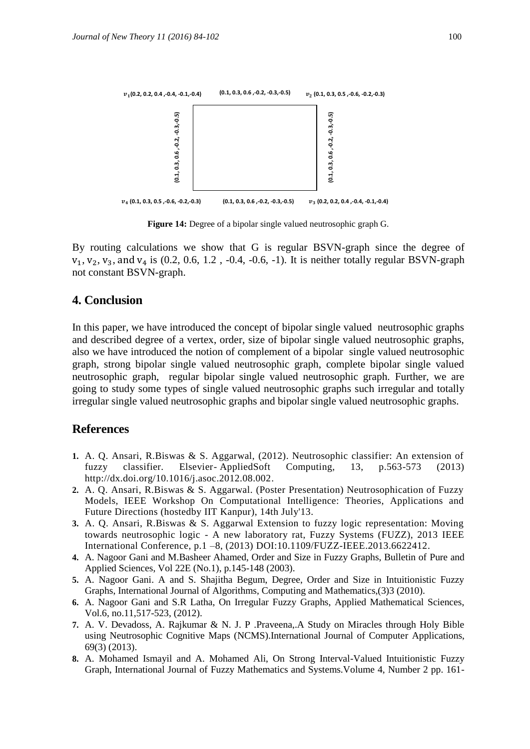

**Figure 14:** Degree of a bipolar single valued neutrosophic graph G.

By routing calculations we show that G is regular BSVN-graph since the degree of  $v_1, v_2, v_3$ , and  $v_4$  is (0.2, 0.6, 1.2, -0.4, -0.6, -1). It is neither totally regular BSVN-graph not constant BSVN-graph.

# **4. Conclusion**

In this paper, we have introduced the concept of bipolar single valued neutrosophic graphs and described degree of a vertex, order, size of bipolar single valued neutrosophic graphs, also we have introduced the notion of complement of a bipolar single valued neutrosophic graph, strong bipolar single valued neutrosophic graph, complete bipolar single valued neutrosophic graph, regular bipolar single valued neutrosophic graph. Further, we are going to study some types of single valued neutrosophic graphs such irregular and totally irregular single valued neutrosophic graphs and bipolar single valued neutrosophic graphs.

## **References**

- **1.** A. Q. Ansari, R.Biswas & S. Aggarwal, (2012). Neutrosophic classifier: An extension of fuzzy classifier. Elsevier- AppliedSoft Computing, 13, p.563-573 (2013) [http://dx.doi.org/10.1016/j.asoc.2012.08.002.](http://dx.doi.org/10.1016/j.asoc.2012.08.002)
- **2.** A. Q. Ansari, R.Biswas & S. Aggarwal. (Poster Presentation) Neutrosophication of Fuzzy Models, IEEE Workshop On Computational Intelligence: Theories, Applications and Future Directions (hostedby IIT Kanpur), 14th July'13.
- **3.** A. Q. Ansari, R.Biswas & S. Aggarwal Extension to fuzzy logic representation: Moving towards neutrosophic logic - A new laboratory rat, Fuzzy Systems (FUZZ), 2013 IEEE International Conference, p.1 –8, (2013) DOI[:10.1109/FUZZ-IEEE.2013.6622412.](http://dx.doi.org/10.1109/FUZZ-IEEE.2013.6622412)
- **4.** A. Nagoor Gani and M.Basheer Ahamed, Order and Size in Fuzzy Graphs, Bulletin of Pure and Applied Sciences, Vol 22E (No.1), p.145-148 (2003).
- **5.** A. Nagoor Gani. A and S. Shajitha Begum, Degree, Order and Size in Intuitionistic Fuzzy Graphs, International Journal of Algorithms, Computing and Mathematics,(3)3 (2010).
- **6.** A. Nagoor Gani and S.R Latha, On Irregular Fuzzy Graphs, Applied Mathematical Sciences, Vol.6, no.11,517-523, (2012).
- **7.** A. V. Devadoss, A. Rajkumar & N. J. P .Praveena,.A Study on Miracles through Holy Bible using Neutrosophic Cognitive Maps (NCMS).International Journal of Computer Applications, 69(3) (2013).
- **8.** A. Mohamed Ismayil and A. Mohamed Ali, On Strong Interval-Valued Intuitionistic Fuzzy Graph, International Journal of Fuzzy Mathematics and Systems.Volume 4, Number 2 pp. 161-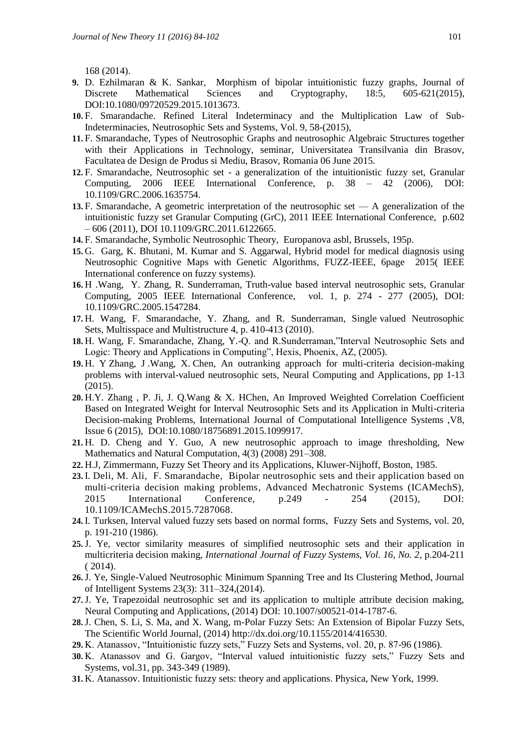168 (2014).

- **9.** D. Ezhilmaran & K. Sankar, Morphism of bipolar intuitionistic fuzzy graphs, Journal of Discrete Mathematical Sciences and Cryptography, 18:5, 605-621(2015), DOI:10.1080/09720529.2015.1013673.
- **10.** F. Smarandache. Refined Literal Indeterminacy and the Multiplication Law of Sub-Indeterminacies, Neutrosophic Sets and Systems, Vol. 9, 58-(2015),
- **11.** F. Smarandache, Types of Neutrosophic Graphs and neutrosophic Algebraic Structures together with their Applications in Technology, seminar, Universitatea Transilvania din Brasov, Facultatea de Design de Produs si Mediu, Brasov, Romania 06 June 2015.
- **12.** F. [Smarandache,](http://ieeexplore.ieee.org/search/searchresult.jsp?searchWithin=%22Authors%22:.QT.Smarandache,%20F..QT.&newsearch=true) Neutrosophic set a generalization of the intuitionistic fuzzy set, Granular Computing, 2006 IEEE International Conference, p. 38 – 42 (2006), DOI: [10.1109/GRC.2006.1635754.](http://dx.doi.org/10.1109/GRC.2006.1635754)
- **13.** F. [Smarandache,](http://ieeexplore.ieee.org/search/searchresult.jsp?searchWithin=%22Authors%22:.QT.Smarandache,%20F..QT.&newsearch=true) A geometric interpretation of the neutrosophic set A generalization of the intuitionistic fuzzy set [Granular Computing \(GrC\), 2011 IEEE International Conference,](http://ieeexplore.ieee.org/xpl/mostRecentIssue.jsp?punumber=6112290) p.602 – 606 (2011), DOI [10.1109/GRC.2011.6122665.](http://dx.doi.org/10.1109/GRC.2011.6122665)
- **14.** F. [Smarandache,](http://ieeexplore.ieee.org/search/searchresult.jsp?searchWithin=%22Authors%22:.QT.Smarandache,%20F..QT.&newsearch=true) Symbolic Neutrosophic Theory, Europanova asbl, Brussels, 195p.
- **15.** G. Garg, K. Bhutani, M. Kumar and S. Aggarwal, Hybrid model for medical diagnosis using Neutrosophic Cognitive Maps with Genetic Algorithms, FUZZ-IEEE, 6page 2015( IEEE International conference on fuzzy systems).
- **16.** H [.Wang,](http://ieeexplore.ieee.org/search/searchresult.jsp?searchWithin=%22Authors%22:.QT.Wang%2C%20H..QT.&newsearch=true) [Y. Zhang,](http://ieeexplore.ieee.org/search/searchresult.jsp?searchWithin=%22Authors%22:.QT.Yan-Qing%20Zhang.QT.&newsearch=true) R. [Sunderraman,](http://ieeexplore.ieee.org/search/searchresult.jsp?searchWithin=%22Authors%22:.QT.Sunderraman%2C%20R..QT.&newsearch=true) [Truth-value based interval neutrosophic sets,](http://ieeexplore.ieee.org/xpl/articleDetails.jsp?arnumber=1547284&newsearch=true&queryText=interval%20neutrosophic) [Granular](http://ieeexplore.ieee.org/xpl/mostRecentIssue.jsp?punumber=10381)  [Computing, 2005 IEEE International Conference,](http://ieeexplore.ieee.org/xpl/mostRecentIssue.jsp?punumber=10381) vol. 1, p. 274 - 277 (2005), DOI: [10.1109/GRC.2005.1547284.](http://dx.doi.org/10.1109/GRC.2005.1547284)
- **17.** H. Wang, F. Smarandache, Y. Zhang, and R. Sunderraman, Single valued Neutrosophic Sets, Multisspace and Multistructure 4, p. 410-413 (2010).
- 18. H. Wang, F. Smarandache, Zhang, Y.-Q. and R. Sunderraman, 'Interval Neutrosophic Sets and Logic: Theory and Applications in Computing", Hexis, Phoenix, AZ, (2005).
- **19.** H. Y Zhang, J .Wang, X. Chen, An outranking approach for multi-criteria decision-making problems with interval-valued neutrosophic sets, [Neural Computing and Applications,](http://link.springer.com/journal/521) pp 1-13 (2015).
- **20.** [H.Y. Zhang](http://www.tandfonline.com/author/Zhang%2C+Hong-yu) , [P. Ji,](http://www.tandfonline.com/author/Ji%2C+Pu) [J. Q.Wang](http://www.tandfonline.com/author/Wang%2C+Jian-qiang) & [X. HChen,](http://www.tandfonline.com/author/Chen%2C+Xiao-hong) An Improved Weighted Correlation Coefficient Based on Integrated Weight for Interval Neutrosophic Sets and its Application in Multi-criteria Decision-making Problems, International Journal of Computational Intelligence Systems [,V8,](http://www.tandfonline.com/loi/tcis20?open=8#vol_8) [Issue 6](http://www.tandfonline.com/toc/tcis20/8/6) (2015), DOI:10.1080/18756891.2015.1099917.
- **21.** H. D. Cheng and Y. Guo, A new neutrosophic approach to image thresholding, New Mathematics and Natural Computation, 4(3) (2008) 291–308.
- **22.** H.J, Zimmermann, Fuzzy Set Theory and its Applications, Kluwer-Nijhoff, Boston, 1985.
- **23.** I. [Deli, M.](http://ieeexplore.ieee.org/search/searchresult.jsp?searchWithin=%22Authors%22:.QT.Deli%2C%20I..QT.&newsearch=true) [Ali,](http://ieeexplore.ieee.org/search/searchresult.jsp?searchWithin=%22Authors%22:.QT.Ali%2C%20M..QT.&newsearch=true) F. [Smarandache,](http://ieeexplore.ieee.org/search/searchresult.jsp?searchWithin=%22Authors%22:.QT.Smarandache%2C%20F..QT.&newsearch=true) [Bipolar neutrosophic sets and their application based on](http://ieeexplore.ieee.org/xpl/articleDetails.jsp?arnumber=7287068&newsearch=true&queryText=bipolar%20neutrosophic)  [multi-criteria decision making problems,](http://ieeexplore.ieee.org/xpl/articleDetails.jsp?arnumber=7287068&newsearch=true&queryText=bipolar%20neutrosophic) [Advanced Mechatronic Systems \(ICAMechS\),](http://ieeexplore.ieee.org/xpl/mostRecentIssue.jsp?punumber=7269218)  [2015 International Conference, p](http://ieeexplore.ieee.org/xpl/mostRecentIssue.jsp?punumber=7269218).249 - 254 (2015), DOI: [10.1109/ICAMechS.2015.7287068.](http://dx.doi.org/10.1109/ICAMechS.2015.7287068)
- **24.** I. Turksen, Interval valued fuzzy sets based on normal forms, Fuzzy Sets and Systems, vol. 20, p. 191-210 (1986).
- **25.**J. Ye, vector similarity measures of simplified neutrosophic sets and their application in multicriteria decision making, *International Journal of Fuzzy Systems, Vol. 16, No. 2*, p.204-211 ( 2014).
- **26.**J. Ye, Single-Valued Neutrosophic Minimum Spanning Tree and Its Clustering Method, Journal of Intelligent Systems 23(3): 311–324,(2014).
- **27.**J. Ye, Trapezoidal neutrosophic set and its application to multiple attribute decision making, Neural Computing and Applications, (2014) DOI: 10.1007/s00521-014-1787-6.
- **28.**J. Chen, S. Li, S. Ma, and X. Wang, m-Polar Fuzzy Sets: An Extension of Bipolar Fuzzy Sets, The Scientific World Journal, (2014) http://dx.doi.org/10.1155/2014/416530.
- 29. K. Atanassov, "Intuitionistic fuzzy sets," Fuzzy Sets and Systems, vol. 20, p. 87-96 (1986).
- 30. K. Atanassov and G. Gargov, "Interval valued intuitionistic fuzzy sets," Fuzzy Sets and Systems, vol.31, pp. 343-349 (1989).
- **31.** K. Atanassov. Intuitionistic fuzzy sets: theory and applications. Physica, New York, 1999.